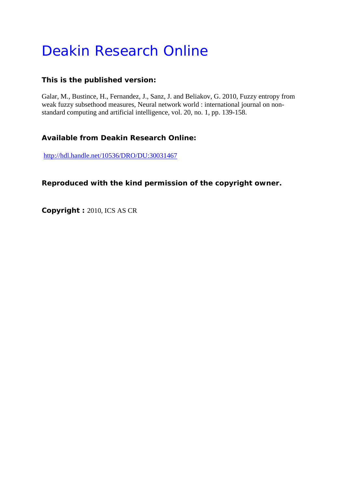# Deakin Research Online

## **This is the published version:**

Galar, M., Bustince, H., Fernandez, J., Sanz, J. and Beliakov, G. 2010, Fuzzy entropy from weak fuzzy subsethood measures, Neural network world : international journal on nonstandard computing and artificial intelligence, vol. 20, no. 1, pp. 139-158.

## **Available from Deakin Research Online:**

http://hdl.handle.net/10536/DRO/DU:30031467

**Reproduced with the kind permission of the copyright owner.**

**Copyright :** 2010, ICS AS CR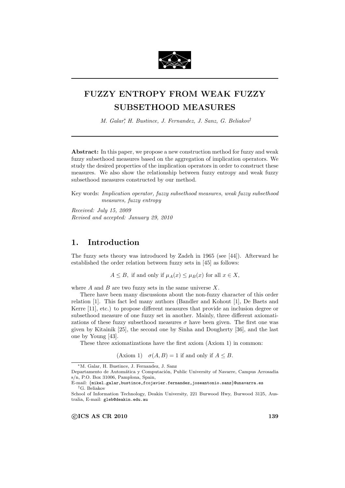

## FUZZY ENTROPY FROM WEAK FUZZY SUBSETHOOD MEASURES

M. Galar<sup>\*</sup>, H. Bustince, J. Fernandez, J. Sanz, G. Beliakov<sup>†</sup>

Abstract: In this paper, we propose a new construction method for fuzzy and weak fuzzy subsethood measures based on the aggregation of implication operators. We study the desired properties of the implication operators in order to construct these measures. We also show the relationship between fuzzy entropy and weak fuzzy subsethood measures constructed by our method.

Key words: Implication operator, fuzzy subsethood measures, weak fuzzy subsethood measures, fuzzy entropy

Received: July 15, 2009 Revised and accepted: January 29, 2010

## 1. Introduction

The fuzzy sets theory was introduced by Zadeh in 1965 (see [44]). Afterward he established the order relation between fuzzy sets in [45] as follows:

 $A \leq B$ , if and only if  $\mu_A(x) \leq \mu_B(x)$  for all  $x \in X$ ,

where  $A$  and  $B$  are two fuzzy sets in the same universe  $X$ .

There have been many discussions about the non-fuzzy character of this order relation [1]. This fact led many authors (Bandler and Kohout [1], De Baets and Kerre [11], etc.) to propose different measures that provide an inclusion degree or subsethood measure of one fuzzy set in another. Mainly, three different axiomatizations of these fuzzy subsethood measures  $\sigma$  have been given. The first one was given by Kitainik [25], the second one by Sinha and Dougherty [36], and the last one by Young [43].

These three axiomatizations have the first axiom (Axiom 1) in common:

(Axiom 1) 
$$
\sigma(A, B) = 1
$$
 if and only if  $A \leq B$ .

<sup>∗</sup>M. Galar, H. Bustince, J. Fernandez, J. Sanz

Departamento de Automática y Computación, Public University of Navarre, Campus Arrosadia s/n, P.O. Box 31006, Pamplona, Spain,

E-mail: {mikel.galar,bustince,fcojavier.fernandez,joseantonio.sanz}@unavarra.es †G. Beliakov

School of Information Technology, Deakin University, 221 Burwood Hwy, Burwood 3125, Australia, E-mail: gleb@deakin.edu.au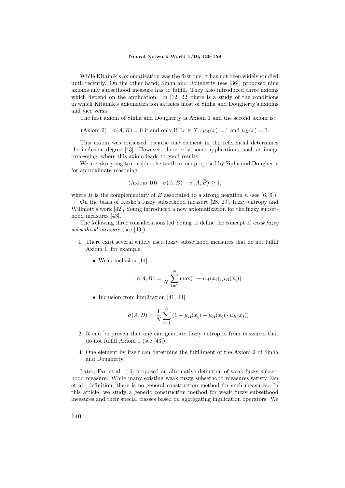#### Neural Network World 1/10, 139-158

While Kitainik's axiomatization was the first one, it has not been widely studied until recently. On the other hand, Sinha and Dougherty (see [36]) proposed nine axioms any subsethood measure has to fulfill. They also introduced three axioms which depend on the application. In  $[12, 22]$  there is a study of the conditions in which Kitainik's axiomatization satisfies most of Sinha and Dougherty's axioms and vice versa.

The first axiom of Sinha and Dougherty is Axiom 1 and the second axiom is:

(Axiom 2)  $\sigma(A, B) = 0$  if and only if  $\exists x \in X : \mu_A(x) = 1$  and  $\mu_B(x) = 0$ .

This axiom was criticized because one element in the referential determines the inclusion degree [43]. However, there exist some applications, such as image processing, where this axiom leads to good results.

We are also going to consider the tenth axiom proposed by Sinha and Dougherty for approximate reasoning:

$$
(\text{Axiom 10}) \quad \sigma(A, B) + \sigma(A, \bar{B}) \ge 1,
$$

where  $\bar{B}$  is the complementary of B associated to a strong negation n (see [6, 9]).

On the basis of Kosko's fuzzy subsethood measure [28, 29], fuzzy entropy and Willmott's work [42], Young introduced a new axiomatization for the fuzzy subsethood measures [43].

The following three considerations led Young to define the concept of weak fuzzy subsethood measure (see [43]):

- 1. There exist several widely used fuzzy subsethood measures that do not fulfill Axiom 1, for example:
	- Weak inclusion [14]:

$$
\sigma(A, B) = \frac{1}{N} \sum_{i=1}^{N} \max(1 - \mu_A(x_i), \mu_B(x_i))
$$

• Inclusion from implication [41, 44]:

$$
\sigma(A, B) = \frac{1}{N} \sum_{i=1}^{N} (1 - \mu_A(x_i) + \mu_A(x_i) \cdot \mu_B(x_i))
$$

- 2. It can be proven that one can generate fuzzy entropies from measures that do not fulfill Axiom 1 (see [43]).
- 3. One element by itself can determine the fulfillment of the Axiom 2 of Sinha and Dougherty.

Later, Fan et al. [16] proposed an alternative definition of weak fuzzy subsethood measure. While many existing weak fuzzy subsethood measures satisfy Fan et al. definition, there is no general construction method for such measures. In this article, we study a generic construction method for weak fuzzy subsethood measures and their special classes based on aggregating implication operators. We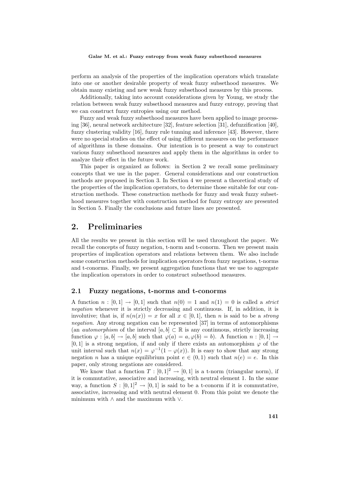perform an analysis of the properties of the implication operators which translate into one or another desirable property of weak fuzzy subsethood measures. We obtain many existing and new weak fuzzy subsethood measures by this process.

Additionally, taking into account considerations given by Young, we study the relation between weak fuzzy subsethood measures and fuzzy entropy, proving that we can construct fuzzy entropies using our method.

Fuzzy and weak fuzzy subsethood measures have been applied to image processing [36], neural network architecture [32], feature selection [31], defuzzification [40], fuzzy clustering validity [16], fuzzy rule tunning and inference [43]. However, there were no special studies on the effect of using different measures on the performance of algorithms in these domains. Our intention is to present a way to construct various fuzzy subsethood measures and apply them in the algorithms in order to analyze their effect in the future work.

This paper is organized as follows: in Section 2 we recall some preliminary concepts that we use in the paper. General considerations and our construction methods are proposed in Section 3. In Section 4 we present a theoretical study of the properties of the implication operators, to determine those suitable for our construction methods. These construction methods for fuzzy and weak fuzzy subsethood measures together with construction method for fuzzy entropy are presented in Section 5. Finally the conclusions and future lines are presented.

## 2. Preliminaries

All the results we present in this section will be used throughout the paper. We recall the concepts of fuzzy negation, t-norm and t-conorm. Then we present main properties of implication operators and relations between them. We also include some construction methods for implication operators from fuzzy negations, t-norms and t-conorms. Finally, we present aggregation functions that we use to aggregate the implication operators in order to construct subsethood measures.

#### 2.1 Fuzzy negations, t-norms and t-conorms

A function  $n : [0, 1] \rightarrow [0, 1]$  such that  $n(0) = 1$  and  $n(1) = 0$  is called a *strict* negation whenever it is strictly decreasing and continuous. If, in addition, it is involutive; that is, if  $n(n(x)) = x$  for all  $x \in [0,1]$ , then n is said to be a *strong* negation. Any strong negation can be represented [37] in terms of automorphisms (an *automorphism* of the interval  $[a, b] \subset \mathbb{R}$  is any continuous, strictly increasing function  $\varphi : [a, b] \to [a, b]$  such that  $\varphi(a) = a, \varphi(b) = b$ . A function  $n : [0, 1] \to$  $[0, 1]$  is a strong negation, if and only if there exists an automorphism  $\varphi$  of the unit interval such that  $n(x) = \varphi^{-1}(1 - \varphi(x))$ . It is easy to show that any strong negation *n* has a unique equilibrium point  $e \in (0, 1)$  such that  $n(e) = e$ . In this paper, only strong negations are considered.

We know that a function  $T : [0,1]^2 \to [0,1]$  is a t-norm (triangular norm), if it is commutative, associative and increasing, with neutral element 1. In the same way, a function  $S : [0, 1]^2 \to [0, 1]$  is said to be a t-conorm if it is commutative, associative, increasing and with neutral element 0. From this point we denote the minimum with  $\land$  and the maximum with  $\lor$ .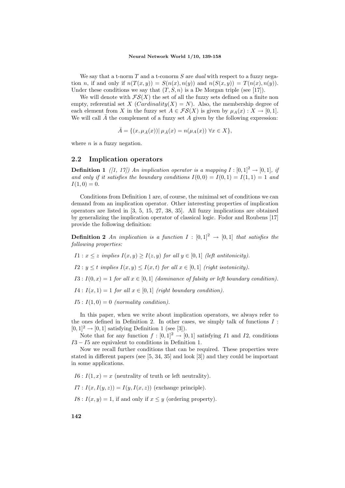#### Neural Network World 1/10, 139-158

We say that a t-norm  $T$  and a t-conorm  $S$  are dual with respect to a fuzzy negation n, if and only if  $n(T(x, y)) = S(n(x), n(y))$  and  $n(S(x, y)) = T(n(x), n(y))$ . Under these conditions we say that  $(T, S, n)$  is a De Morgan triple (see [17]).

We will denote with  $\mathcal{FS}(X)$  the set of all the fuzzy sets defined on a finite non empty, referential set X (Cardinality(X) = N). Also, the membership degree of each element from X in the fuzzy set  $A \in \mathcal{FS}(X)$  is given by  $\mu_A(x) : X \to [0,1].$ We will call  $\bar{A}$  the complement of a fuzzy set A given by the following expression:

$$
\bar{A} = \{(x, \mu_{\bar{A}}(x)) | \mu_{\bar{A}}(x) = n(\mu_A(x)) \,\,\forall x \in X\},\
$$

where  $n$  is a fuzzy negation.

## 2.2 Implication operators

**Definition 1** ([1, 17]) An implication operator is a mapping  $I : [0,1]^2 \rightarrow [0,1]$ , if and only if it satisfies the boundary conditions  $I(0,0) = I(0,1) = I(1,1) = 1$  and  $I(1,0) = 0.$ 

Conditions from Definition 1 are, of course, the minimal set of conditions we can demand from an implication operator. Other interesting properties of implication operators are listed in [3, 5, 15, 27, 38, 35]. All fuzzy implications are obtained by generalizing the implication operator of classical logic. Fodor and Roubens [17] provide the following definition:

**Definition 2** An implication is a function  $I : [0,1]^2 \rightarrow [0,1]$  that satisfies the following properties:

 $I1: x \leq z$  implies  $I(x, y) \geq I(z, y)$  for all  $y \in [0, 1]$  (left antitonicity).

 $I2: y \leq t$  implies  $I(x, y) \leq I(x, t)$  for all  $x \in [0, 1]$  (right isotonicity).

 $I3: I(0, x) = 1$  for all  $x \in [0, 1]$  (dominance of falsity or left boundary condition).

 $I4: I(x, 1) = 1$  for all  $x \in [0, 1]$  (right boundary condition).

 $I5: I(1,0) = 0$  (normality condition).

In this paper, when we write about implication operators, we always refer to the ones defined in Definition 2. In other cases, we simply talk of functions  $I$ :  $[0, 1]^2 \rightarrow [0, 1]$  satisfying Definition 1 (see [3]).

Note that for any function  $f : [0,1]^2 \rightarrow [0,1]$  satisfying I1 and I2, conditions  $I3 - I5$  are equivalent to conditions in Definition 1.

Now we recall further conditions that can be required. These properties were stated in different papers (see [5, 34, 35] and look [3]) and they could be important in some applications.

 $I6: I(1, x) = x$  (neutrality of truth or left neutrality).

 $I7: I(x, I(y, z)) = I(y, I(x, z))$  (exchange principle).

 $I8: I(x, y) = 1$ , if and only if  $x \leq y$  (ordering property).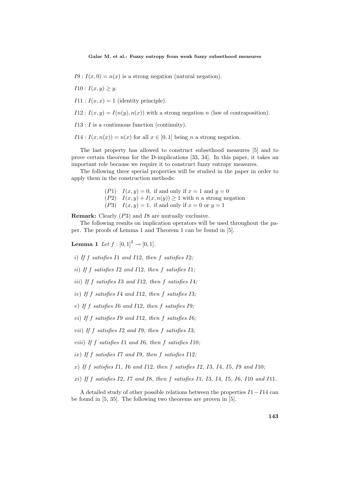$I9: I(x, 0) = n(x)$  is a strong negation (natural negation).

$$
I10: I(x,y) \ge y.
$$

 $I11: I(x, x) = 1$  (identity principle).

 $I12: I(x,y) = I(n(y), n(x))$  with a strong negation n (law of contraposition).

 $I13: I$  is a continuous function (continuity).

 $I14: I(x, n(x)) = n(x)$  for all  $x \in [0, 1]$  being n a strong negation.

The last property has allowed to construct subsethood measures [5] and to prove certain theorems for the D-implications [33, 34]. In this paper, it takes an important role because we require it to construct fuzzy entropy measures.

The following three special properties will be studied in the paper in order to apply them in the construction methods:

> $(P1)$   $I(x, y) = 0$ , if and only if  $x = 1$  and  $y = 0$  $(P2)$   $I(x, y) + I(x, n(y)) \ge 1$  with n a strong negation  $(P3)$   $I(x, y) = 1$ , if and only if  $x = 0$  or  $y = 1$

Remark: Clearly (P3) and I8 are mutually exclusive.

The following results on implication operators will be used throughout the paper. The proofs of Lemma 1 and Theorem 1 can be found in [5].

**Lemma 1** Let  $f : [0, 1]^2 \to [0, 1]$ .

i) If f satisfies  $I1$  and  $I12$ , then f satisfies  $I2$ ;

ii) If  $f$  satisfies  $I2$  and  $I12$ , then  $f$  satisfies  $I1$ ;

iii) If  $f$  satisfies  $I3$  and  $I12$ , then  $f$  satisfies  $I4$ ;

iv) If  $f$  satisfies  $I4$  and  $I12$ , then  $f$  satisfies  $I3$ ;

v) If  $f$  satisfies  $I6$  and  $I12$ , then  $f$  satisfies  $I9$ ;

vi) If f satisfies I9 and I12, then f satisfies I6;

vii) If f satisfies I2 and I9, then f satisfies I3;

viii) If f satisfies  $I1$  and  $I6$ , then f satisfies  $I10$ ;

ix) If f satisfies I7 and I9, then f satisfies  $I12$ :

 $x)$  If f satisfies I1, I6 and I12, then f satisfies I2, I3, I4, I5, I9 and I10;

 $xi)$  If f satisfies I2, I7 and I8, then f satisfies I1, I3, I4, I5, I6, I10 and I11.

A detailed study of other possible relations between the properties  $I1-I14$  can be found in [5, 35]. The following two theorems are proven in [5].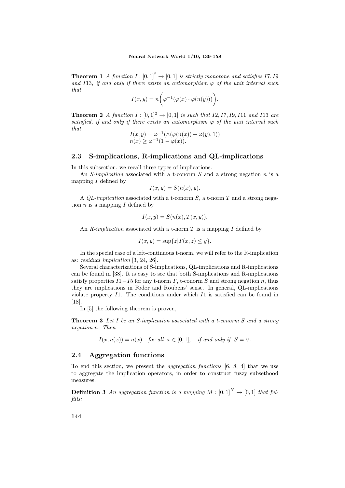**Theorem 1** A function  $I : [0, 1]^2 \rightarrow [0, 1]$  is strictly monotone and satisfies I7, I9 and I13, if and only if there exists an automorphism  $\varphi$  of the unit interval such that  $\overline{a}$ 

$$
I(x,y) = n\bigg(\varphi^{-1}(\varphi(x)\cdot\varphi(n(y)))\bigg).
$$

**Theorem 2** A function  $I : [0,1]^2 \rightarrow [0,1]$  is such that  $I2, I7, I9, I11$  and  $I13$  are satisfied, if and only if there exists an automorphism  $\varphi$  of the unit interval such that

$$
I(x, y) = \varphi^{-1}(\land(\varphi(n(x)) + \varphi(y), 1))
$$
  

$$
n(x) \ge \varphi^{-1}(1 - \varphi(x)).
$$

## 2.3 S-implications, R-implications and QL-implications

In this subsection, we recall three types of implications.

An S-implication associated with a t-conorm  $S$  and a strong negation  $n$  is a mapping  $I$  defined by

$$
I(x, y) = S(n(x), y).
$$

A  $QL-implication$  associated with a t-conorm S, a t-norm T and a strong negation  $n$  is a mapping  $I$  defined by

$$
I(x, y) = S(n(x), T(x, y)).
$$

An  $R$ -implication associated with a t-norm  $T$  is a mapping  $I$  defined by

$$
I(x, y) = \sup\{z|T(x, z) \le y\}.
$$

In the special case of a left-continuous t-norm, we will refer to the R-implication as: residual implication [3, 24, 26].

Several characterizations of S-implications, QL-implications and R-implications can be found in [38]. It is easy to see that both S-implications and R-implications satisfy properties  $I1-I5$  for any t-norm T, t-conorm S and strong negation n, thus they are implications in Fodor and Roubens' sense. In general, QL-implications violate property  $I1$ . The conditions under which  $I1$  is satisfied can be found in [18].

In [5] the following theorem is proven,

Theorem 3 Let I be an S-implication associated with a t-conorm S and a strong negation n. Then

$$
I(x, n(x)) = n(x)
$$
 for all  $x \in [0, 1]$ , if and only if  $S = \vee$ .

#### 2.4 Aggregation functions

To end this section, we present the *aggregation functions* [6, 8, 4] that we use to aggregate the implication operators, in order to construct fuzzy subsethood measures.

**Definition 3** An aggregation function is a mapping  $M : [0, 1]^N \rightarrow [0, 1]$  that fulfills: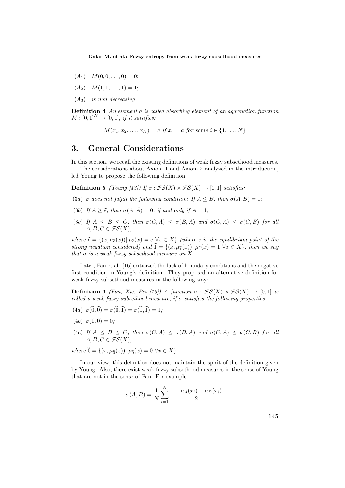- $(A_1)$   $M(0, 0, \ldots, 0) = 0;$
- $(A_2)$   $M(1, 1, \ldots, 1) = 1;$
- $(A_3)$  is non decreasing

Definition 4 An element a is called absorbing element of an aggregation function  $M : [0, 1]^N \rightarrow [0, 1]$ , if it satisfies:

 $M(x_1, x_2, \ldots, x_N) = a$  if  $x_i = a$  for some  $i \in \{1, \ldots, N\}$ 

## 3. General Considerations

In this section, we recall the existing definitions of weak fuzzy subsethood measures. The considerations about Axiom 1 and Axiom 2 analyzed in the introduction,

led Young to propose the following definition:

**Definition 5** (Young [43]) If  $\sigma$ :  $\mathcal{FS}(X) \times \mathcal{FS}(X) \rightarrow [0,1]$  satisfies:

- (3a)  $\sigma$  does not fulfill the following condition: If  $A \leq B$ , then  $\sigma(A, B) = 1$ ;
- (3b) If  $A > \tilde{e}$ , then  $\sigma(A, \bar{A}) = 0$ , if and only if  $A = \tilde{1}$ ;
- (3c) If  $A \leq B \leq C$ , then  $\sigma(C, A) \leq \sigma(B, A)$  and  $\sigma(C, A) \leq \sigma(C, B)$  for all  $A, B, C \in \mathcal{FS}(X),$

where  $\widetilde{e} = \{(x, \mu_{\widetilde{e}}(x)) | \mu_{\widetilde{e}}(x) = e \,\forall x \in X \}$  (where e is the equilibrium point of the strong negation considered) and  $\tilde{1} = \{(x, \mu_{\tilde{1}}(x)) | \mu_{\tilde{1}}(x) = 1 \,\forall x \in X\}$ , then we say that  $\sigma$  is a weak fuzzy subsethood measure on X.

Later, Fan et al. [16] criticized the lack of boundary conditions and the negative first condition in Young's definition. They proposed an alternative definition for weak fuzzy subsethood measures in the following way:

**Definition 6** (Fan, Xie, Pei [16]) A function  $\sigma : \mathcal{FS}(X) \times \mathcal{FS}(X) \rightarrow [0,1]$  is called a weak fuzzy subsethood measure, if  $\sigma$  satisfies the following properties:

- (4a)  $\sigma(\widetilde{0}, \widetilde{0}) = \sigma(\widetilde{0}, \widetilde{1}) = \sigma(\widetilde{1}, \widetilde{1}) = 1$ ;
- (4b)  $\sigma(\tilde{1}, \tilde{0}) = 0$ ;
- (4c) If  $A \leq B \leq C$ , then  $\sigma(C, A) \leq \sigma(B, A)$  and  $\sigma(C, A) \leq \sigma(C, B)$  for all  $A, B, C \in \mathcal{FS}(X),$

where  $\widetilde{0} = \{(x, \mu_{\widetilde{0}}(x)) | \mu_{\widetilde{0}}(x) = 0 \,\forall x \in X\}.$ 

In our view, this definition does not maintain the spirit of the definition given by Young. Also, there exist weak fuzzy subsethood measures in the sense of Young that are not in the sense of Fan. For example:

$$
\sigma(A, B) = \frac{1}{N} \sum_{i=1}^{N} \frac{1 - \mu_A(x_i) + \mu_B(x_i)}{2}.
$$

145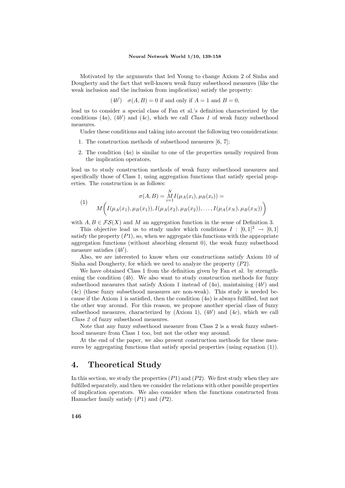Motivated by the arguments that led Young to change Axiom 2 of Sinha and Dougherty and the fact that well-known weak fuzzy subsethood measures (like the weak inclusion and the inclusion from implication) satisfy the property:

(4b') 
$$
\sigma(A, B) = 0
$$
 if and only if  $A = 1$  and  $B = 0$ ,

lead us to consider a special class of Fan et al.'s definition characterized by the conditions  $(4a)$ ,  $(4b')$  and  $(4c)$ , which we call *Class 1* of weak fuzzy subsethood measures.

Under these conditions and taking into account the following two considerations:

- 1. The construction methods of subsethood measures [6, 7];
- 2. The condition  $(4a)$  is similar to one of the properties usually required from the implication operators,

lead us to study construction methods of weak fuzzy subsethood measures and specifically those of Class 1, using aggregation functions that satisfy special properties. The construction is as follows:

(1) 
$$
\sigma(A, B) = \frac{N}{M} I(\mu_A(x_i), \mu_B(x_i)) = M \left( I(\mu_A(x_1), \mu_B(x_1)), I(\mu_A(x_2), \mu_B(x_2)), \dots, I(\mu_A(x_N), \mu_B(x_N)) \right)
$$

with  $A, B \in \mathcal{FS}(X)$  and M an aggregation function in the sense of Definition 3.

This objective lead us to study under which conditions  $I : [0, 1]^2 \rightarrow [0, 1]$ satisfy the property  $(P1)$ , so, when we aggregate this functions with the appropriate aggregation functions (without absorbing element 0), the weak fuzzy subsethood measure satisfies  $(4b')$ .

Also, we are interested to know when our constructions satisfy Axiom 10 of Sinha and Dougherty, for which we need to analyze the property  $(P2)$ .

We have obtained Class 1 from the definition given by Fan et al. by strengthening the condition  $(4b)$ . We also want to study construction methods for fuzzy subsethood measures that satisfy Axiom 1 instead of  $(4a)$ , maintaining  $(4b')$  and  $(4c)$  (these fuzzy subsethood measures are non-weak). This study is needed because if the Axiom 1 is satisfied, then the condition  $(4a)$  is always fulfilled, but not the other way around. For this reason, we propose another special class of fuzzy subsethood measures, characterized by  $(Axiom 1)$ ,  $(4b')$  and  $(4c)$ , which we call Class 2 of fuzzy subsethood measures.

Note that any fuzzy subsethood measure from Class 2 is a weak fuzzy subsethood measure from Class 1 too, but not the other way around.

At the end of the paper, we also present construction methods for these measures by aggregating functions that satisfy special properties (using equation (1)).

## 4. Theoretical Study

In this section, we study the properties  $(P1)$  and  $(P2)$ . We first study when they are fulfilled separately, and then we consider the relations with other possible properties of implication operators. We also consider when the functions constructed from Hamacher family satisfy  $(P1)$  and  $(P2)$ .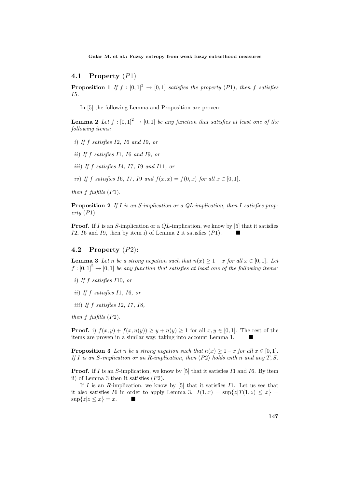## 4.1 Property  $(P1)$

**Proposition 1** If  $f : [0,1]^2 \rightarrow [0,1]$  satisfies the property (P1), then f satisfies I5.

In [5] the following Lemma and Proposition are proven:

**Lemma 2** Let  $f : [0,1]^2 \rightarrow [0,1]$  be any function that satisfies at least one of the following items:

- i) If f satisfies I2, I6 and I9, or
- ii) If f satisfies I1, I6 and I9, or
- iii) If f satisfies I4, I7, I9 and I11, or
- iv) If f satisfies I6, I7, I9 and  $f(x, x) = f(0, x)$  for all  $x \in [0, 1]$ ,

then  $f$  fulfills  $(P1)$ .

**Proposition 2** If I is an S-implication or a QL-implication, then I satisfies prop $erty(P1)$ .

**Proof.** If I is an S-implication or a  $QL$ -implication, we know by [5] that it satisfies I2, I6 and I9, then by item i) of Lemma 2 it satisfies  $(P1)$ .

## 4.2 Property  $(P2)$ :

**Lemma 3** Let n be a strong negation such that  $n(x) \geq 1 - x$  for all  $x \in [0,1]$ . Let  $f : [0,1]^2 \to [0,1]$  be any function that satisfies at least one of the following items:

- i) If f satisfies I10, or
- ii) If f satisfies I1, I6, or
- iii) If  $f$  satisfies  $I2$ ,  $I7$ ,  $I8$ ,

then  $f$  fulfills  $(P2)$ .

**Proof.** i)  $f(x, y) + f(x, n(y)) \ge y + n(y) \ge 1$  for all  $x, y \in [0, 1]$ . The rest of the items are proven in a similar way, taking into account Lemma 1. ¥

**Proposition 3** Let n be a strong negation such that  $n(x) \geq 1-x$  for all  $x \in [0,1]$ . If I is an S-implication or an R-implication, then  $(P2)$  holds with n and any T, S.

**Proof.** If I is an S-implication, we know by [5] that it satisfies I1 and I6. By item ii) of Lemma 3 then it satisfies (P2).

If I is an R-implication, we know by  $[5]$  that it satisfies I1. Let us see that it also satisfies I6 in order to apply Lemma 3.  $I(1, x) = \sup\{z|T(1, z) \leq x\}$  $\sup\{z|z \leq x\} = x.$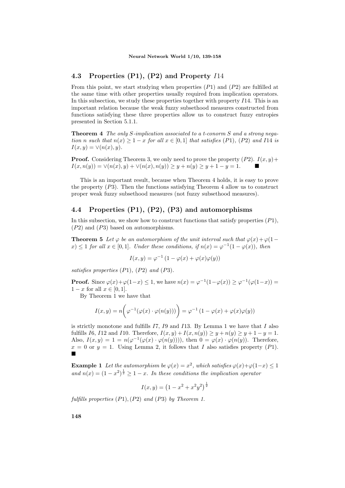## 4.3 Properties (P1), (P2) and Property I14

From this point, we start studying when properties  $(P1)$  and  $(P2)$  are fulfilled at the same time with other properties usually required from implication operators. In this subsection, we study these properties together with property  $I14$ . This is an important relation because the weak fuzzy subsethood measures constructed from functions satisfying these three properties allow us to construct fuzzy entropies presented in Section 5.1.1.

Theorem 4 The only S-implication associated to a t-conorm S and a strong negation n such that  $n(x) \geq 1 - x$  for all  $x \in [0,1]$  that satisfies (P1), (P2) and I14 is  $I(x, y) = \vee (n(x), y).$ 

**Proof.** Considering Theorem 3, we only need to prove the property  $(P2)$ .  $I(x, y)$ +  $I(x, n(y)) = \vee (n(x), y) + \vee (n(x), n(y)) \geq y + n(y) \geq y + 1 - y = 1.$ 

This is an important result, because when Theorem 4 holds, it is easy to prove the property  $(P3)$ . Then the functions satisfying Theorem 4 allow us to construct proper weak fuzzy subsethood measures (not fuzzy subsethood measures).

## 4.4 Properties (P1), (P2), (P3) and automorphisms

In this subsection, we show how to construct functions that satisfy properties  $(P1)$ , (P2) and (P3) based on automorphisms.

**Theorem 5** Let  $\varphi$  be an automorphism of the unit interval such that  $\varphi(x)+\varphi(1-\varphi(x))$  $f(x) \leq 1$  for all  $x \in [0,1]$ . Under these conditions, if  $n(x) = \varphi^{-1}(1-\varphi(x))$ , then

$$
I(x,y) = \varphi^{-1} (1 - \varphi(x) + \varphi(x)\varphi(y))
$$

satisfies properties  $(P1)$ ,  $(P2)$  and  $(P3)$ .

**Proof.** Since  $\varphi(x)+\varphi(1-x) \leq 1$ , we have  $n(x) = \varphi^{-1}(1-\varphi(x)) \geq \varphi^{-1}(\varphi(1-x)) =$  $1-x$  for all  $x \in [0,1]$ .

By Theorem 1 we have that

$$
I(x,y) = n\left(\varphi^{-1}(\varphi(x)\cdot\varphi(n(y)))\right) = \varphi^{-1}\left(1-\varphi(x)+\varphi(x)\varphi(y)\right)
$$

is strictly monotone and fulfills  $I7$ ,  $I9$  and  $I13$ . By Lemma 1 we have that  $I$  also fulfills I6, I12 and I10. Therefore,  $I(x, y) + I(x, n(y)) \ge y + n(y) \ge y + 1 - y = 1$ . Also,  $I(x,y) = 1 = n(\varphi^{-1}(\varphi(x) \cdot \varphi(n(y))))$ , then  $0 = \varphi(x) \cdot \varphi(n(y))$ . Therefore,  $x = 0$  or  $y = 1$ . Using Lemma 2, it follows that I also satisfies property (P1). ¥

**Example 1** Let the automorphism be  $\varphi(x) = x^2$ , which satisfies  $\varphi(x)+\varphi(1-x) \leq 1$ and  $n(x) = (1-x^2)^{\frac{1}{2}} \geq 1-x$ . In these conditions the implication operator

$$
I(x,y) = (1 - x^2 + x^2 y^2)^{\frac{1}{2}}
$$

fulfills properties  $(P1)$ ,  $(P2)$  and  $(P3)$  by Theorem 1.

148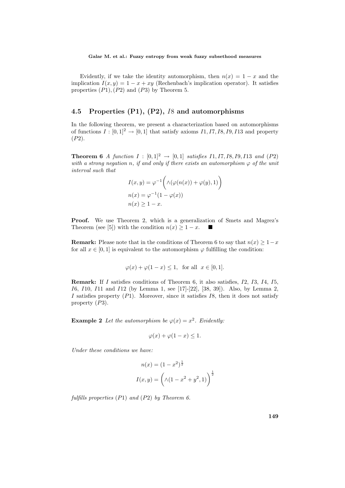Evidently, if we take the identity automorphism, then  $n(x) = 1 - x$  and the implication  $I(x, y) = 1 - x + xy$  (Rechenbach's implication operator). It satisfies properties  $(P1)$ ,  $(P2)$  and  $(P3)$  by Theorem 5.

## 4.5 Properties (P1), (P2), I8 and automorphisms

In the following theorem, we present a characterization based on automorphisms of functions  $I : [0, 1]^2 \rightarrow [0, 1]$  that satisfy axioms  $I1, I7, I8, I9, I13$  and property  $(P2)$ .

**Theorem 6** A function  $I : [0,1]^2 \rightarrow [0,1]$  satisfies  $I1, I7, I8, I9, I13$  and  $(P2)$ with a strong negation n, if and only if there exists an automorphism  $\varphi$  of the unit interval such that  $\overline{a}$ 

$$
I(x, y) = \varphi^{-1}\left(\wedge(\varphi(n(x)) + \varphi(y), 1)\right)
$$

$$
n(x) = \varphi^{-1}(1 - \varphi(x))
$$

$$
n(x) \ge 1 - x.
$$

Proof. We use Theorem 2, which is a generalization of Smets and Magrez's Theorem (see [5]) with the condition  $n(x) \geq 1 - x$ .

**Remark:** Please note that in the conditions of Theorem 6 to say that  $n(x) \geq 1-x$ for all  $x \in [0, 1]$  is equivalent to the automorphism  $\varphi$  fulfilling the condition:

$$
\varphi(x) + \varphi(1-x) \leq 1
$$
, for all  $x \in [0,1]$ .

Remark: If I satisfies conditions of Theorem 6, it also satisfies, I2, I3, I4, I5, I6, I10, I11 and I12 (by Lemma 1, see [17]-[22], [38, 39]). Also, by Lemma 2, I satisfies property  $(P1)$ . Moreover, since it satisfies I8, then it does not satisfy property (P3).

**Example 2** Let the automorphism be  $\varphi(x) = x^2$ . Evidently:

$$
\varphi(x) + \varphi(1 - x) \le 1.
$$

Under these conditions we have:

$$
n(x) = (1 - x^{2})^{\frac{1}{2}}
$$

$$
I(x, y) = \left(\wedge (1 - x^{2} + y^{2}, 1)\right)^{\frac{1}{2}}
$$

fulfills properties  $(P1)$  and  $(P2)$  by Theorem 6.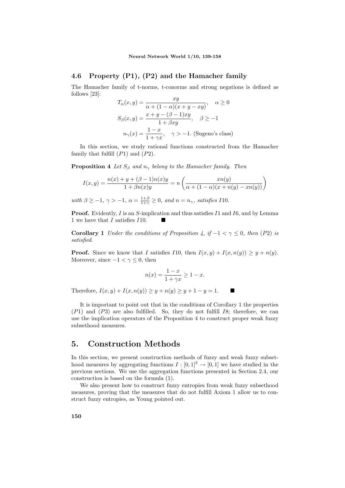## 4.6 Property (P1), (P2) and the Hamacher family

The Hamacher family of t-norms, t-conorms and strong negations is defined as follows [23]:

$$
T_{\alpha}(x, y) = \frac{xy}{\alpha + (1 - \alpha)(x + y - xy)}, \quad \alpha \ge 0
$$
  

$$
S_{\beta}(x, y) = \frac{x + y - (\beta - 1)xy}{1 + \beta xy}, \quad \beta \ge -1
$$
  

$$
n_{\gamma}(x) = \frac{1 - x}{1 + \gamma x}, \quad \gamma > -1.
$$
 (Sugeno's class)

In this section, we study rational functions constructed from the Hamacher family that fulfill  $(P1)$  and  $(P2)$ .

**Proposition 4** Let  $S_\beta$  and  $n_\gamma$  belong to the Hamacher family. Then

$$
I(x,y) = \frac{n(x) + y + (\beta - 1)n(x)y}{1 + \beta n(x)y} = n \left( \frac{xn(y)}{\alpha + (1 - \alpha)(x + n(y) - xn(y))} \right)
$$

with  $\beta \geq -1$ ,  $\gamma > -1$ ,  $\alpha = \frac{1+\beta}{1+\gamma} \geq 0$ , and  $n = n_{\gamma}$ , satisfies I10.

Proof. Evidently, I is an S-implication and thus satisfies I1 and I6, and by Lemma 1 we have that  $I$  satisfies  $I10$ .

**Corollary 1** Under the conditions of Proposition 4, if  $-1 < \gamma \leq 0$ , then (P2) is satisfied.

**Proof.** Since we know that I satisfies I10, then  $I(x, y) + I(x, n(y)) \geq y + n(y)$ . Moreover, since  $-1 < \gamma \leq 0$ , then

$$
n(x) = \frac{1-x}{1+\gamma x} \ge 1-x.
$$

Therefore,  $I(x, y) + I(x, n(y)) > y + n(y) > y + 1 - y = 1$ .

It is important to point out that in the conditions of Corollary 1 the properties  $(P1)$  and  $(P3)$  are also fulfilled. So, they do not fulfill  $I8$ ; therefore, we can use the implication operators of the Proposition 4 to construct proper weak fuzzy subsethood measures.

## 5. Construction Methods

In this section, we present construction methods of fuzzy and weak fuzzy subsethood measures by aggregating functions  $I : [0,1]^2 \to [0,1]$  we have studied in the previous sections. We use the aggregation functions presented in Section 2.4, our construction is based on the formula (1).

We also present how to construct fuzzy entropies from weak fuzzy subsethood measures, proving that the measures that do not fulfill Axiom 1 allow us to construct fuzzy entropies, as Young pointed out.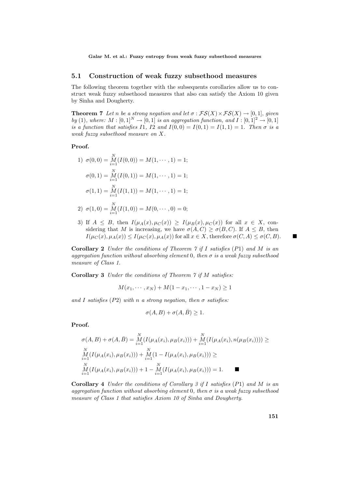## 5.1 Construction of weak fuzzy subsethood measures

The following theorem together with the subsequents corollaries allow us to construct weak fuzzy subsethood measures that also can satisfy the Axiom 10 given by Sinha and Dougherty.

**Theorem 7** Let n be a strong negation and let  $\sigma$ :  $\mathcal{FS}(X) \times \mathcal{FS}(X) \rightarrow [0,1]$ , given by (1), where:  $M : [0,1]^N \to [0,1]$  is an aggregation function, and  $I : [0,1]^2 \to [0,1]$ is a function that satisfies I1, I2 and  $I(0,0) = I(0,1) = I(1,1) = 1$ . Then  $\sigma$  is a weak fuzzy subsethood measure on X.

#### Proof.

1) 
$$
\sigma(0, 0) = \underset{i=1}{\overset{N}{M}} (I(0, 0)) = M(1, \cdots, 1) = 1;
$$
  
\n $\sigma(0, 1) = \underset{i=1}{\overset{N}{M}} (I(0, 1)) = M(1, \cdots, 1) = 1;$   
\n $\sigma(1, 1) = \underset{i=1}{\overset{N}{M}} (I(1, 1)) = M(1, \cdots, 1) = 1;$ 

N

2) 
$$
\sigma(1,0) = \underset{i=1}{\overset{N}{M}}(I(1,0)) = M(0,\cdots,0) = 0;
$$

3) If  $A \leq B$ , then  $I(\mu_A(x), \mu_C(x)) \geq I(\mu_B(x), \mu_C(x))$  for all  $x \in X$ , considering that M is increasing, we have  $\sigma(A, C) \geq \sigma(B, C)$ . If  $A \leq B$ , then  $I(\mu_C(x), \mu_A(x)) \leq I(\mu_C(x), \mu_A(x))$  for all  $x \in X$ , therefore  $\sigma(C, A) \leq \sigma(C, B)$ .

**Corollary 2** Under the conditions of Theorem 7 if I satisfies  $(P1)$  and M is an aggregation function without absorbing element 0, then  $\sigma$  is a weak fuzzy subsethood measure of Class 1.

Corollary 3 Under the conditions of Theorem 7 if M satisfies:

$$
M(x_1, \dots, x_N) + M(1 - x_1, \dots, 1 - x_N) \ge 1
$$

and I satisfies (P2) with n a strong negation, then  $\sigma$  satisfies:

$$
\sigma(A, B) + \sigma(A, \bar{B}) \ge 1.
$$

Proof.

$$
\sigma(A, B) + \sigma(A, \bar{B}) = \frac{N}{i=1} (I(\mu_A(x_i), \mu_B(x_i))) + \frac{N}{M} (I(\mu_A(x_i), n(\mu_B(x_i)))) \ge
$$
  
\n
$$
\frac{N}{i=1} (I(\mu_A(x_i), \mu_B(x_i))) + \frac{N}{M} (1 - I(\mu_A(x_i), \mu_B(x_i))) \ge
$$
  
\n
$$
\frac{N}{i=1} (I(\mu_A(x_i), \mu_B(x_i))) + 1 - \frac{N}{M} (I(\mu_A(x_i), \mu_B(x_i))) = 1.
$$

**Corollary 4** Under the conditions of Corollary 3 if I satisfies  $(P1)$  and M is an aggregation function without absorbing element 0, then  $\sigma$  is a weak fuzzy subsethood measure of Class 1 that satisfies Axiom 10 of Sinha and Dougherty.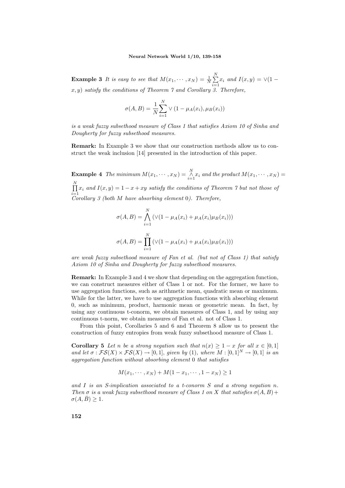**Example 3** It is easy to see that  $M(x_1, \dots, x_N) = \frac{1}{N}$  $\frac{N}{2}$  $\sum_{i=1} x_i$  and  $I(x, y) = \sqrt{1 - (1 - \frac{y^2}{2})}$  $(x, y)$  satisfy the conditions of Theorem 7 and Corollary 3. Therefore,

$$
\sigma(A, B) = \frac{1}{N} \sum_{i=1}^{N} \vee (1 - \mu_A(x_i), \mu_B(x_i))
$$

is a weak fuzzy subsethood measure of Class 1 that satisfies Axiom 10 of Sinha and Dougherty for fuzzy subsethood measures.

Remark: In Example 3 we show that our construction methods allow us to construct the weak inclusion [14] presented in the introduction of this paper.

**Example 4** The minimum  $M(x_1, \dots, x_N) = \bigwedge_{i=1}^N x_i$  and the product  $M(x_1, \dots, x_N) =$  $\frac{N}{\sqrt{2}}$  $\prod_{i=1} x_i$  and  $I(x, y) = 1 - x + xy$  satisfy the conditions of Theorem 7 but not those of Corollary 3 (both M have absorbing element 0). Therefore,

$$
\sigma(A, B) = \bigwedge_{i=1}^{N} (\vee (1 - \mu_A(x_i) + \mu_A(x_i)\mu_B(x_i)))
$$

$$
\sigma(A, B) = \prod_{i=1}^{N} (\vee (1 - \mu_A(x_i) + \mu_A(x_i)\mu_B(x_i)))
$$

are weak fuzzy subsethood measure of Fan et al. (but not of Class 1) that satisfy Axiom 10 of Sinha and Dougherty for fuzzy subsethood measures.

Remark: In Example 3 and 4 we show that depending on the aggregation function, we can construct measures either of Class 1 or not. For the former, we have to use aggregation functions, such as arithmetic mean, quadratic mean or maximum. While for the latter, we have to use aggregation functions with absorbing element 0, such as minimum, product, harmonic mean or geometric mean. In fact, by using any continuous t-conorm, we obtain measures of Class 1, and by using any continuous t-norm, we obtain measures of Fan et al. not of Class 1.

From this point, Corollaries 5 and 6 and Theorem 8 allow us to present the construction of fuzzy entropies from weak fuzzy subsethood measure of Class 1.

Corollary 5 Let n be a strong negation such that  $n(x) \geq 1 - x$  for all  $x \in [0,1]$ and let  $\sigma : \mathcal{FS}(X) \times \mathcal{FS}(X) \to [0,1],$  given by (1), where  $M : [0,1]^N \to [0,1]$  is an aggregation function without absorbing element 0 that satisfies

$$
M(x_1, \dots, x_N) + M(1 - x_1, \dots, 1 - x_N) \ge 1
$$

and I is an S-implication associated to a t-conorm S and a strong negation  $n$ . Then  $\sigma$  is a weak fuzzy subsethood measure of Class 1 on X that satisfies  $\sigma(A, B)$ +  $\sigma(A,\bar{B}) \geq 1.$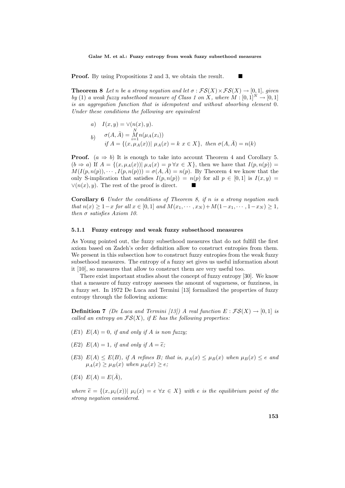**Proof.** By using Propositions 2 and 3, we obtain the result.

**Theorem 8** Let n be a strong negation and let  $\sigma : \mathcal{FS}(X) \times \mathcal{FS}(X) \to [0,1]$ , given by (1) a weak fuzzy subsethood measure of Class 1 on X, where  $M : [0,1]^N \to [0,1]$ is an aggregation function that is idempotent and without absorbing element 0. Under these conditions the following are equivalent

a)  $I(x, y) = \vee (n(x), y)$ . b)  $\sigma(A, \bar{A}) = \frac{N}{M} n(\mu_A(x_i))$ if  $A = \{ (x, \mu_A(x)) | \mu_A(x) = k \ x \in X \},\$  then  $\sigma(A, \overline{A}) = n(k)$ 

**Proof.**  $(a \Rightarrow b)$  It is enough to take into account Theorem 4 and Corollary 5.  $(b \Rightarrow a)$  If  $A = \{(x, \mu_A(x)) | \mu_A(x) = p \forall x \in X\}$ , then we have that  $I(p, n(p)) =$  $M(I(p, n(p)), \cdots, I(p, n(p))) = \sigma(A, \overline{A}) = n(p)$ . By Theorem 4 we know that the only S-implication that satisfies  $I(p, n(p)) = n(p)$  for all  $p \in [0, 1]$  is  $I(x, y) =$  $\vee (n(x), y)$ . The rest of the proof is direct.

**Corollary 6** Under the conditions of Theorem 8, if n is a strong negation such that  $n(x) > 1-x$  for all  $x \in [0,1]$  and  $M(x_1, \dots, x_N) + M(1-x_1, \dots, 1-x_N) > 1$ , then  $\sigma$  satisfies Axiom 10.

#### 5.1.1 Fuzzy entropy and weak fuzzy subsethood measures

As Young pointed out, the fuzzy subsethood measures that do not fulfill the first axiom based on Zadeh's order definition allow to construct entropies from them. We present in this subsection how to construct fuzzy entropies from the weak fuzzy subsethood measures. The entropy of a fuzzy set gives us useful information about it [10], so measures that allow to construct them are very useful too.

There exist important studies about the concept of fuzzy entropy [30]. We know that a measure of fuzzy entropy assesses the amount of vagueness, or fuzziness, in a fuzzy set. In 1972 De Luca and Termini [13] formalized the properties of fuzzy entropy through the following axioms:

**Definition 7** (De Luca and Termini [13]) A real function  $E : \mathcal{FS}(X) \to [0,1]$  is called an entropy on  $\mathcal{FS}(X)$ , if E has the following properties:

- $(E1) E(A) = 0$ , if and only if A is non fuzzy:
- (E2)  $E(A) = 1$ , if and only if  $A = \tilde{e}$ ;
- (E3)  $E(A) \leq E(B)$ , if A refines B; that is,  $\mu_A(x) \leq \mu_B(x)$  when  $\mu_B(x) \leq e$  and  $\mu_A(x) \geq \mu_B(x)$  when  $\mu_B(x) > e$ ;
- $(E4) E(A) = E(\bar{A}),$

where  $\tilde{e} = \{(x, \mu_{\tilde{e}}(x)) | \mu_{\tilde{e}}(x) = e \,\forall x \in X\}$  with e is the equilibrium point of the strong negation considered.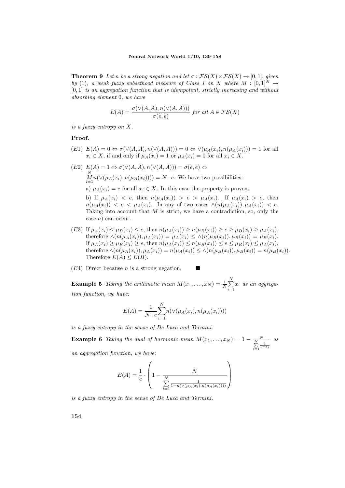**Theorem 9** Let n be a strong negation and let  $\sigma : \mathcal{FS}(X) \times \mathcal{FS}(X) \rightarrow [0,1]$ , given by (1), a weak fuzzy subsethood measure of Class 1 on X where  $M : [0,1]^N \rightarrow$  $[0, 1]$  is an aggregation function that is idempotent, strictly increasing and without absorbing element 0, we have

$$
E(A) = \frac{\sigma(\vee(A, \bar{A}), n(\vee(A, \bar{A})))}{\sigma(\tilde{e}, \tilde{e})} \text{ for all } A \in \mathcal{FS}(X)
$$

is a fuzzy entropy on X.

#### Proof.

- $(E1) E(A) = 0 \Leftrightarrow \sigma(\vee(A, \bar{A}), n(\vee(A, \bar{A}))) = 0 \Leftrightarrow \vee(\mu_A(x_i), n(\mu_A(x_i))) = 1$  for all  $x_i \in X$ , if and only if  $\mu_A(x_i) = 1$  or  $\mu_A(x_i) = 0$  for all  $x_i \in X$ .
- $(E2) E(A) = 1 \Leftrightarrow \sigma(\vee(A, \bar{A}), n(\vee(A, \bar{A}))) = \sigma(\tilde{e}, \tilde{e}) \Leftrightarrow$  $M_{i=1}^{N} n(\vee(\mu_A(x_i), n(\mu_A(x_i)))) = N \cdot e$ . We have two possibilities: a)  $\mu_A(x_i) = e$  for all  $x_i \in X$ . In this case the property is proven. b) If  $\mu_A(x_i) < e$ , then  $n(\mu_A(x_i)) > e > \mu_A(x_i)$ . If  $\mu_A(x_i) > e$ , then  $n(\mu_A(x_i)) < \epsilon < \mu_A(x_i)$ . In any of two cases  $\wedge (n(\mu_A(x_i)), \mu_A(x_i)) < \epsilon$ . Taking into account that  $M$  is strict, we have a contradiction, so, only the case a) can occur.
- (E3) If  $\mu_A(x_i) \le \mu_B(x_i) \le e$ , then  $n(\mu_A(x_i)) \ge n(\mu_B(x_i)) \ge e \ge \mu_B(x_i) \ge \mu_A(x_i)$ , therefore  $\wedge (n(\mu_A(x_i)), \mu_A(x_i)) = \mu_A(x_i) \leq \wedge (n(\mu_B(x_i)), \mu_B(x_i)) = \mu_B(x_i).$ If  $\mu_A(x_i) \geq \mu_B(x_i) \geq e$ , then  $n(\mu_A(x_i)) \leq n(\mu_B(x_i)) \leq e \leq \mu_B(x_i) \leq \mu_A(x_i)$ , therefore  $\wedge (n(\mu_A(x_i)), \mu_A(x_i)) = n(\mu_A(x_i)) \leq \wedge (n(\mu_B(x_i)), \mu_B(x_i)) = n(\mu_B(x_i)).$ Therefore  $E(A) \leq E(B)$ .
- $(E4)$  Direct because *n* is a strong negation.

**Example 5** Taking the arithmetic mean  $M(x_1,...,x_N) = \frac{1}{N}$  $\frac{N}{2}$  $\sum_{i=1} x_i$  as an aggregation function, we have:

$$
E(A) = \frac{1}{N \cdot e} \sum_{i=1}^{N} n(\vee(\mu_A(x_i), n(\mu_A(x_i))))
$$

is a fuzzy entropy in the sense of De Luca and Termini.

**Example 6** Taking the dual of harmonic mean  $M(x_1,...,x_N) = 1 - \frac{N}{N}$  $i=1$  $\frac{1}{1-x_i}$ as an aggregation function, we have:

$$
E(A) = \frac{1}{e} \cdot \left(1 - \frac{N}{\sum_{i=1}^{N} \frac{1}{1 - n(\vee(\mu_A(x_i), n(\mu_A(x_i))))}}\right)
$$

is a fuzzy entropy in the sense of De Luca and Termini.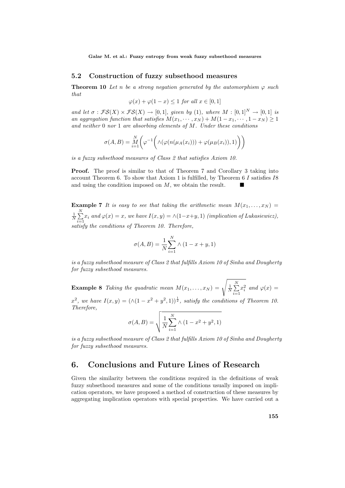## 5.2 Construction of fuzzy subsethood measures

**Theorem 10** Let n be a strong negation generated by the automorphism  $\varphi$  such that

$$
\varphi(x) + \varphi(1-x) \le 1 \text{ for all } x \in [0,1]
$$

and let  $\sigma : \mathcal{FS}(X) \times \mathcal{FS}(X) \to [0,1]$ , given by (1), where  $M : [0,1]^N \to [0,1]$  is an aggregation function that satisfies  $M(x_1, \dots, x_N) + M(1-x_1, \dots, 1-x_N) \ge 1$ and neither  $0$  nor  $1$  are absorbing elements of  $M$ . Under these conditions

$$
\sigma(A,B) = \frac{N}{i} \left( \varphi^{-1} \left( \wedge (\varphi(n(\mu_A(x_i))) + \varphi(\mu_B(x_i)), 1) \right) \right)
$$

is a fuzzy subsethood measures of Class 2 that satisfies Axiom 10.

**Proof.** The proof is similar to that of Theorem 7 and Corollary 3 taking into account Theorem 6. To show that Axiom 1 is fulfilled, by Theorem 6 I satisfies I8 and using the condition imposed on  $M$ , we obtain the result.

**Example 7** It is easy to see that taking the arithmetic mean  $M(x_1, \ldots, x_N)$  =  $\frac{1}{N}$  $\frac{N}{2}$  $\sum_{i=1} x_i$  and  $\varphi(x) = x$ , we have  $I(x, y) = \wedge (1-x+y, 1)$  (implication of Lukasiewicz), satisfy the conditions of Theorem 10. Therefore,

$$
\sigma(A, B) = \frac{1}{N} \sum_{i=1}^{N} \wedge (1 - x + y, 1)
$$

is a fuzzy subsethood measure of Class 2 that fulfills Axiom 10 of Sinha and Dougherty for fuzzy subsethood measures.

**Example 8** Taking the quadratic mean  $M(x_1,...,x_N) = \sqrt{\frac{1}{N}}$  $\frac{N}{2}$  $i=1$  $x_i^2$  and  $\varphi(x) =$ 

 $x^2$ , we have  $I(x,y) = (\wedge (1-x^2+y^2,1))^{\frac{1}{2}}$ , satisfy the conditions of Theorem 10. Therefore,

$$
\sigma(A, B) = \sqrt{\frac{1}{N} \sum_{i=1}^{N} \wedge (1 - x^2 + y^2, 1)}
$$

is a fuzzy subsethood measure of Class 2 that fulfills Axiom 10 of Sinha and Dougherty for fuzzy subsethood measures.

## 6. Conclusions and Future Lines of Research

Given the similarity between the conditions required in the definitions of weak fuzzy subsethood measures and some of the conditions usually imposed on implication operators, we have proposed a method of construction of these measures by aggregating implication operators with special properties. We have carried out a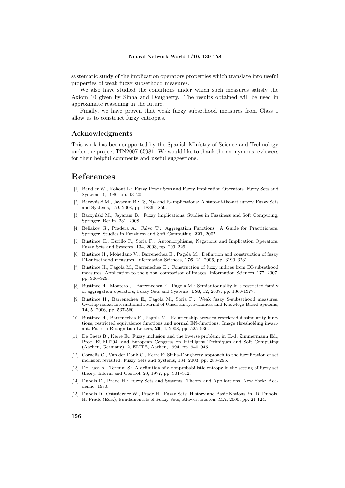systematic study of the implication operators properties which translate into useful properties of weak fuzzy subsethood measures.

We also have studied the conditions under which such measures satisfy the Axiom 10 given by Sinha and Dougherty. The results obtained will be used in approximate reasoning in the future.

Finally, we have proven that weak fuzzy subsethood measures from Class 1 allow us to construct fuzzy entropies.

#### Acknowledgments

This work has been supported by the Spanish Ministry of Science and Technology under the project TIN2007-65981. We would like to thank the anonymous reviewers for their helpful comments and useful suggestions.

## References

- [1] Bandler W., Kohout L.: Fuzzy Power Sets and Fuzzy Implication Operators. Fuzzy Sets and Systems, 4, 1980, pp. 13–20.
- [2] Baczyński M., Jayaram B.:  $(S, N)$  and R-implications: A state-of-the-art survey. Fuzzy Sets and Systems, 159, 2008, pp. 1836–1859.
- [3] Baczyński M., Jayaram B.: Fuzzy Implications, Studies in Fuzziness and Soft Computing, Springer, Berlin, 231, 2008.
- [4] Beliakov G., Pradera A., Calvo T.: Aggregation Functions: A Guide for Practitioners. Springer, Studies in Fuzziness and Soft Computing, 221, 2007.
- [5] Bustince H., Burillo P., Soria F.: Automorphisms, Negations and Implication Operators. Fuzzy Sets and Systems, 134, 2003, pp. 209–229.
- [6] Bustince H., Mohedano V., Barrenechea E., Pagola M.: Definition and construction of fuzzy DI-subsethood measures. Information Sciences, 176, 21, 2006, pp. 3190–3231.
- [7] Bustince H., Pagola M., Barrenechea E.: Construction of fuzzy indices from DI-subsethood measures: Application to the global comparison of images. Information Sciences, 177, 2007, pp. 906–929.
- [8] Bustince H., Montero J., Barrenechea E., Pagola M.: Semiautoduality in a restricted family of aggregation operators, Fuzzy Sets and Systems, 158, 12, 2007, pp. 1360-1377.
- [9] Bustince H., Barrenechea E., Pagola M., Soria F.: Weak fuzzy S-subsethood measures. Overlap index. International Journal of Uncertainty, Fuzziness and Knowlege-Based Systems, 14, 5, 2006, pp. 537-560.
- [10] Bustince H., Barrenechea E., Pagola M.: Relationship between restricted dissimilarity functions, restricted equivalence functions and normal EN-functions: Image thresholding invariant. Pattern Recognition Letters, 29, 4, 2008, pp. 525–536.
- [11] De Baets B., Kerre E.: Fuzzy inclusion and the inverse problem, in H.-J. Zimmermann Ed., Proc. EUFIT'94, and European Congress on Intelligent Techniques and Soft Computing (Aachen, Germany), 2, ELITE, Aachen, 1994, pp. 940–945.
- [12] Cornelis C., Van der Donk C., Kerre E: Sinha-Dougherty approach to the fuzzification of set inclusion revisited. Fuzzy Sets and Systems, 134, 2003, pp. 283–295.
- [13] De Luca A., Termini S.: A definition of a nonprobabilistic entropy in the setting of fuzzy set theory, Inform and Control, 20, 1972, pp. 301–312.
- [14] Dubois D., Prade H.: Fuzzy Sets and Systems: Theory and Applications, New York: Academic, 1980.
- [15] Dubois D., Ostasiewicz W., Prade H.: Fuzzy Sets: History and Basic Notions. in: D. Dubois, H. Prade (Eds.), Fundamentals of Fuzzy Sets, Kluwer, Boston, MA, 2000, pp. 21-124.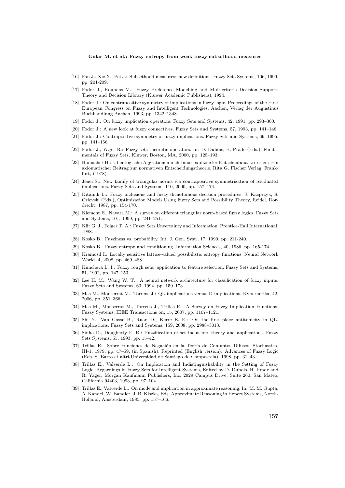- [16] Fan J., Xie X., Pei J.: Subsethood measures: new definitions. Fuzzy Sets Systems, 106, 1999, pp. 201-209.
- [17] Fodor J., Roubens M.: Fuzzy Preference Modelling and Multicriteria Decision Support. Theory and Decision Library (Kluwer Academic Publishers), 1994.
- [18] Fodor J.: On contrapositive symmetry of implications in fuzzy logic. Proceedings of the First European Congress on Fuzzy and Intelligent Technologies, Aachen, Verlag der Augustinus Buchhandlung Aachen. 1993, pp. 1342–1348.
- [19] Fodor J.: On fuzzy implication operators. Fuzzy Sets and Systems, 42, 1991, pp. 293–300.
- [20] Fodor J.: A new look at fuzzy connectives. Fuzzy Sets and Systems, 57, 1993, pp. 141–148.
- [21] Fodor J.: Contrapositive symmetry of fuzzy implications. Fuzzy Sets and Systems, 69, 1995, pp. 141–156.
- [22] Fodor J., Yager R.: Fuzzy sets theoretic operators. In: D. Dubois, H. Prade (Eds.). Fundamentals of Fuzzy Sets, Kluwer, Boston, MA, 2000, pp. 125–193.
- [23] Hamacher H.: Uber logische Aggrationen nichtbinar explizierter Entscheidunaskriterien: Ein axiomatischer Beitrag zur normativen Entscheidungstheorie, Rita G. Fischer Verlag, Frankfurt, (1978).
- [24] Jenei S.: New family of triangular norms via contrapositive symmetrization of residuated implications. Fuzzy Sets and Systems, 110, 2000, pp. 157–174.
- [25] Kitainik L.: Fuzzy inclusions and fuzzy dichotomous decision procedures. J. Kacprzyk, S. Orlovski (Eds.), Optimization Models Using Fuzzy Sets and Possibility Theory, Reidel, Dordrecht, 1987, pp. 154-170.
- [26] Klement E., Navara M.: A survey on different triangular norm-based fuzzy logics. Fuzzy Sets and Systems, 101, 1999, pp. 241–251.
- [27] Klir G. J., Folger T. A.: Fuzzy Sets Uncertainty and Information. Prentice-Hall International, 1988.
- [28] Kosko B.: Fuzziness vs. probability. Int. J. Gen. Syst., 17, 1990, pp. 211-240.
- [29] Kosko B.: Fuzzy entropy and conditioning. Information Sciences, 40, 1986, pp. 165-174.
- [30] Kramosil I.: Locally sensitive lattice-valued possibilistic entropy functions. Neural Network World, 4, 2008, pp. 469–488.
- [31] Kuncheva L. I.: Fuzzy rough sets: application to feature selection. Fuzzy Sets and Systems, 51, 1992, pp. 147–153.
- [32] Lee H. M., Wang W. T.: A neural network architecture for classification of fuzzy inputs. Fuzzy Sets and Systems, 63, 1994, pp. 159–173.
- [33] Mas M., Monserrat M., Torrens J.: QL-implications versus D-implications. Kybernetika, 42, 2006, pp. 351–366.
- [34] Mas M., Monserrat M., Torrens J., Trillas E.: A Survey on Fuzzy Implication Functions. Fuzzy Systems, IEEE Transactions on, 15, 2007, pp. 1107–1121.
- [35] Shi Y., Van Gasse B., Ruan D., Kerre E. E.: On the first place antitonicity in QLimplications. Fuzzy Sets and Systems, 159, 2008, pp. 2988–3013.
- [36] Sinha D., Dougherty E. R.: Fuzzification of set inclusion: theory and applications. Fuzzy Sets Systems, 55, 1993, pp. 15–42.
- [37] Trillas E.: Sobre Funciones de Negación en la Teoría de Conjuntos Difusos. Stochastica, III-1, 1979, pp. 47–59, (in Spanish). Reprinted (English version): Advances of Fuzzy Logic (Eds. S. Barro et altri-Universidad de Santiago de Compostela), 1998, pp. 31–43.
- [38] Trillas E., Valverde L.: On Implication and Indistinguishability in the Setting of Fuzzy Logic. Regardings in Fuzzy Sets for Intelligent Systems, Edited by D. Dubois, H. Prade and R. Yager, Morgan Kaufmann Publishers, Inc. 2929 Campus Drive, Suite 260, San Mateo, California 94403, 1993, pp. 97–104.
- [39] Trillas E., Valverde L.: On mode and implication in approximate reasoning. In: M. M. Gupta, A. Kandel, W. Bandler, J. B. Kiszka, Eds. Approximate Reasoning in Expert Systems, North-Holland, Amsterdam, 1985, pp. 157–166.